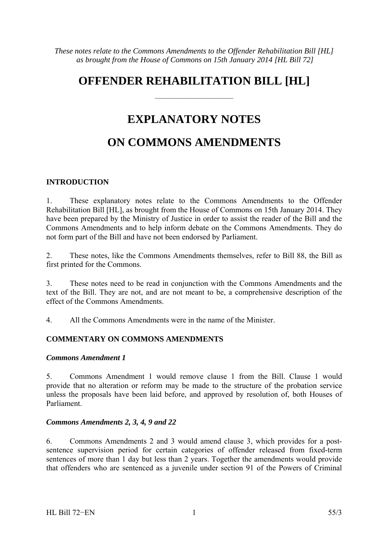# **OFFENDER REHABILITATION BILL [HL]**

——————————

## **EXPLANATORY NOTES**

# **ON COMMONS AMENDMENTS**

#### **INTRODUCTION**

1. These explanatory notes relate to the Commons Amendments to the Offender Rehabilitation Bill [HL], as brought from the House of Commons on 15th January 2014. They have been prepared by the Ministry of Justice in order to assist the reader of the Bill and the Commons Amendments and to help inform debate on the Commons Amendments. They do not form part of the Bill and have not been endorsed by Parliament.

2. These notes, like the Commons Amendments themselves, refer to Bill 88, the Bill as first printed for the Commons.

3. These notes need to be read in conjunction with the Commons Amendments and the text of the Bill. They are not, and are not meant to be, a comprehensive description of the effect of the Commons Amendments.

4. All the Commons Amendments were in the name of the Minister.

#### **COMMENTARY ON COMMONS AMENDMENTS**

#### *Commons Amendment 1*

5. Commons Amendment 1 would remove clause 1 from the Bill. Clause 1 would provide that no alteration or reform may be made to the structure of the probation service unless the proposals have been laid before, and approved by resolution of, both Houses of Parliament.

#### *Commons Amendments 2, 3, 4, 9 and 22*

6. Commons Amendments 2 and 3 would amend clause 3, which provides for a postsentence supervision period for certain categories of offender released from fixed-term sentences of more than 1 day but less than 2 years. Together the amendments would provide that offenders who are sentenced as a juvenile under section 91 of the Powers of Criminal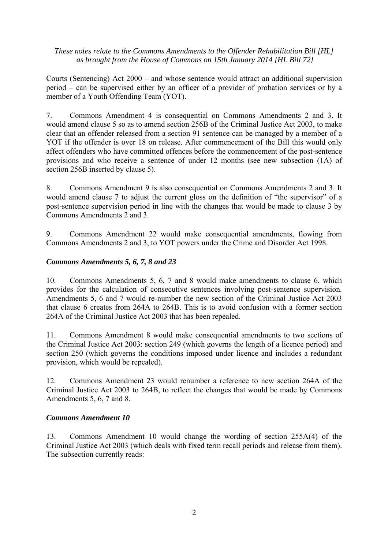Courts (Sentencing) Act 2000 – and whose sentence would attract an additional supervision period – can be supervised either by an officer of a provider of probation services or by a member of a Youth Offending Team (YOT).

7. Commons Amendment 4 is consequential on Commons Amendments 2 and 3. It would amend clause 5 so as to amend section 256B of the Criminal Justice Act 2003, to make clear that an offender released from a section 91 sentence can be managed by a member of a YOT if the offender is over 18 on release. After commencement of the Bill this would only affect offenders who have committed offences before the commencement of the post-sentence provisions and who receive a sentence of under 12 months (see new subsection (1A) of section 256B inserted by clause 5).

8. Commons Amendment 9 is also consequential on Commons Amendments 2 and 3. It would amend clause 7 to adjust the current gloss on the definition of "the supervisor" of a post-sentence supervision period in line with the changes that would be made to clause 3 by Commons Amendments 2 and 3.

9. Commons Amendment 22 would make consequential amendments, flowing from Commons Amendments 2 and 3, to YOT powers under the Crime and Disorder Act 1998.

#### *Commons Amendments 5, 6, 7, 8 and 23*

10. Commons Amendments 5, 6, 7 and 8 would make amendments to clause 6, which provides for the calculation of consecutive sentences involving post-sentence supervision. Amendments 5, 6 and 7 would re-number the new section of the Criminal Justice Act 2003 that clause 6 creates from 264A to 264B. This is to avoid confusion with a former section 264A of the Criminal Justice Act 2003 that has been repealed.

11. Commons Amendment 8 would make consequential amendments to two sections of the Criminal Justice Act 2003: section 249 (which governs the length of a licence period) and section 250 (which governs the conditions imposed under licence and includes a redundant provision, which would be repealed).

12. Commons Amendment 23 would renumber a reference to new section 264A of the Criminal Justice Act 2003 to 264B, to reflect the changes that would be made by Commons Amendments 5, 6, 7 and 8.

#### *Commons Amendment 10*

13. Commons Amendment 10 would change the wording of section 255A(4) of the Criminal Justice Act 2003 (which deals with fixed term recall periods and release from them). The subsection currently reads: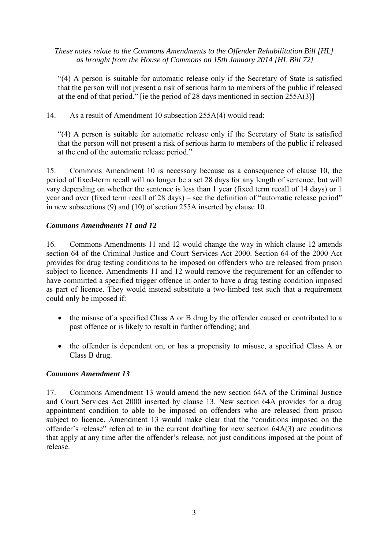"(4) A person is suitable for automatic release only if the Secretary of State is satisfied that the person will not present a risk of serious harm to members of the public if released at the end of that period." [ie the period of 28 days mentioned in section 255A(3)]

14. As a result of Amendment 10 subsection 255A(4) would read:

"(4) A person is suitable for automatic release only if the Secretary of State is satisfied that the person will not present a risk of serious harm to members of the public if released at the end of the automatic release period."

15. Commons Amendment 10 is necessary because as a consequence of clause 10, the period of fixed-term recall will no longer be a set 28 days for any length of sentence, but will vary depending on whether the sentence is less than 1 year (fixed term recall of 14 days) or 1 year and over (fixed term recall of 28 days) – see the definition of "automatic release period" in new subsections (9) and (10) of section 255A inserted by clause 10.

#### *Commons Amendments 11 and 12*

16. Commons Amendments 11 and 12 would change the way in which clause 12 amends section 64 of the Criminal Justice and Court Services Act 2000. Section 64 of the 2000 Act provides for drug testing conditions to be imposed on offenders who are released from prison subject to licence. Amendments 11 and 12 would remove the requirement for an offender to have committed a specified trigger offence in order to have a drug testing condition imposed as part of licence. They would instead substitute a two-limbed test such that a requirement could only be imposed if:

- the misuse of a specified Class A or B drug by the offender caused or contributed to a past offence or is likely to result in further offending; and
- the offender is dependent on, or has a propensity to misuse, a specified Class A or Class B drug.

#### *Commons Amendment 13*

17. Commons Amendment 13 would amend the new section 64A of the Criminal Justice and Court Services Act 2000 inserted by clause 13. New section 64A provides for a drug appointment condition to able to be imposed on offenders who are released from prison subject to licence. Amendment 13 would make clear that the "conditions imposed on the offender's release" referred to in the current drafting for new section 64A(3) are conditions that apply at any time after the offender's release, not just conditions imposed at the point of release.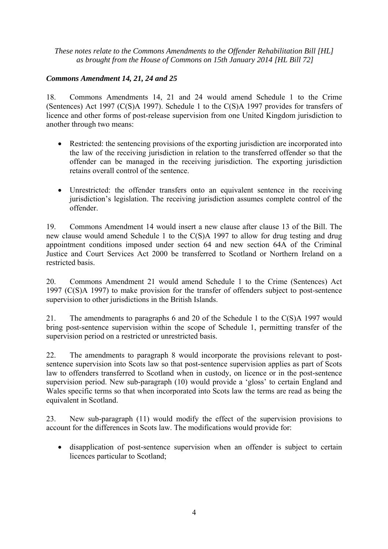#### *Commons Amendment 14, 21, 24 and 25*

18. Commons Amendments 14, 21 and 24 would amend Schedule 1 to the Crime (Sentences) Act 1997 (C(S)A 1997). Schedule 1 to the C(S)A 1997 provides for transfers of licence and other forms of post-release supervision from one United Kingdom jurisdiction to another through two means:

- Restricted: the sentencing provisions of the exporting jurisdiction are incorporated into the law of the receiving jurisdiction in relation to the transferred offender so that the offender can be managed in the receiving jurisdiction. The exporting jurisdiction retains overall control of the sentence.
- Unrestricted: the offender transfers onto an equivalent sentence in the receiving jurisdiction's legislation. The receiving jurisdiction assumes complete control of the offender.

19. Commons Amendment 14 would insert a new clause after clause 13 of the Bill. The new clause would amend Schedule 1 to the C(S)A 1997 to allow for drug testing and drug appointment conditions imposed under section 64 and new section 64A of the Criminal Justice and Court Services Act 2000 be transferred to Scotland or Northern Ireland on a restricted basis.

20. Commons Amendment 21 would amend Schedule 1 to the Crime (Sentences) Act 1997 (C(S)A 1997) to make provision for the transfer of offenders subject to post-sentence supervision to other jurisdictions in the British Islands.

21. The amendments to paragraphs 6 and 20 of the Schedule 1 to the C(S)A 1997 would bring post-sentence supervision within the scope of Schedule 1, permitting transfer of the supervision period on a restricted or unrestricted basis.

22. The amendments to paragraph 8 would incorporate the provisions relevant to postsentence supervision into Scots law so that post-sentence supervision applies as part of Scots law to offenders transferred to Scotland when in custody, on licence or in the post-sentence supervision period. New sub-paragraph (10) would provide a 'gloss' to certain England and Wales specific terms so that when incorporated into Scots law the terms are read as being the equivalent in Scotland.

23. New sub-paragraph (11) would modify the effect of the supervision provisions to account for the differences in Scots law. The modifications would provide for:

• disapplication of post-sentence supervision when an offender is subject to certain licences particular to Scotland;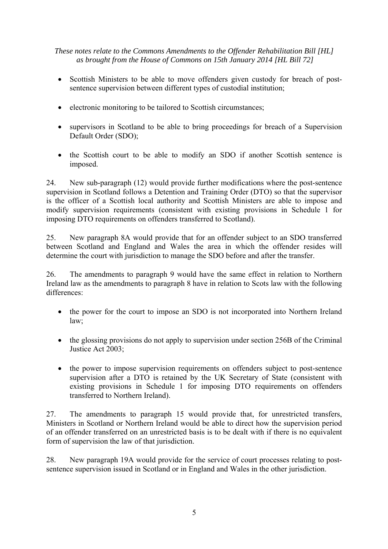- Scottish Ministers to be able to move offenders given custody for breach of postsentence supervision between different types of custodial institution;
- electronic monitoring to be tailored to Scottish circumstances;
- supervisors in Scotland to be able to bring proceedings for breach of a Supervision Default Order (SDO);
- the Scottish court to be able to modify an SDO if another Scottish sentence is imposed.

24. New sub-paragraph (12) would provide further modifications where the post-sentence supervision in Scotland follows a Detention and Training Order (DTO) so that the supervisor is the officer of a Scottish local authority and Scottish Ministers are able to impose and modify supervision requirements (consistent with existing provisions in Schedule 1 for imposing DTO requirements on offenders transferred to Scotland).

25. New paragraph 8A would provide that for an offender subject to an SDO transferred between Scotland and England and Wales the area in which the offender resides will determine the court with jurisdiction to manage the SDO before and after the transfer.

26. The amendments to paragraph 9 would have the same effect in relation to Northern Ireland law as the amendments to paragraph 8 have in relation to Scots law with the following differences:

- the power for the court to impose an SDO is not incorporated into Northern Ireland law;
- the glossing provisions do not apply to supervision under section 256B of the Criminal Justice Act 2003;
- the power to impose supervision requirements on offenders subject to post-sentence supervision after a DTO is retained by the UK Secretary of State (consistent with existing provisions in Schedule 1 for imposing DTO requirements on offenders transferred to Northern Ireland).

27. The amendments to paragraph 15 would provide that, for unrestricted transfers, Ministers in Scotland or Northern Ireland would be able to direct how the supervision period of an offender transferred on an unrestricted basis is to be dealt with if there is no equivalent form of supervision the law of that jurisdiction.

28. New paragraph 19A would provide for the service of court processes relating to postsentence supervision issued in Scotland or in England and Wales in the other jurisdiction.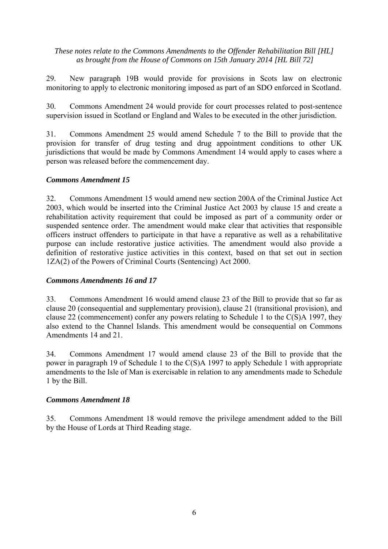29. New paragraph 19B would provide for provisions in Scots law on electronic monitoring to apply to electronic monitoring imposed as part of an SDO enforced in Scotland.

30. Commons Amendment 24 would provide for court processes related to post-sentence supervision issued in Scotland or England and Wales to be executed in the other jurisdiction.

31. Commons Amendment 25 would amend Schedule 7 to the Bill to provide that the provision for transfer of drug testing and drug appointment conditions to other UK jurisdictions that would be made by Commons Amendment 14 would apply to cases where a person was released before the commencement day.

#### *Commons Amendment 15*

32. Commons Amendment 15 would amend new section 200A of the Criminal Justice Act 2003, which would be inserted into the Criminal Justice Act 2003 by clause 15 and create a rehabilitation activity requirement that could be imposed as part of a community order or suspended sentence order. The amendment would make clear that activities that responsible officers instruct offenders to participate in that have a reparative as well as a rehabilitative purpose can include restorative justice activities. The amendment would also provide a definition of restorative justice activities in this context, based on that set out in section 1ZA(2) of the Powers of Criminal Courts (Sentencing) Act 2000.

#### *Commons Amendments 16 and 17*

33. Commons Amendment 16 would amend clause 23 of the Bill to provide that so far as clause 20 (consequential and supplementary provision), clause 21 (transitional provision), and clause 22 (commencement) confer any powers relating to Schedule 1 to the C(S)A 1997, they also extend to the Channel Islands. This amendment would be consequential on Commons Amendments 14 and 21.

34. Commons Amendment 17 would amend clause 23 of the Bill to provide that the power in paragraph 19 of Schedule 1 to the C(S)A 1997 to apply Schedule 1 with appropriate amendments to the Isle of Man is exercisable in relation to any amendments made to Schedule 1 by the Bill.

#### *Commons Amendment 18*

35. Commons Amendment 18 would remove the privilege amendment added to the Bill by the House of Lords at Third Reading stage.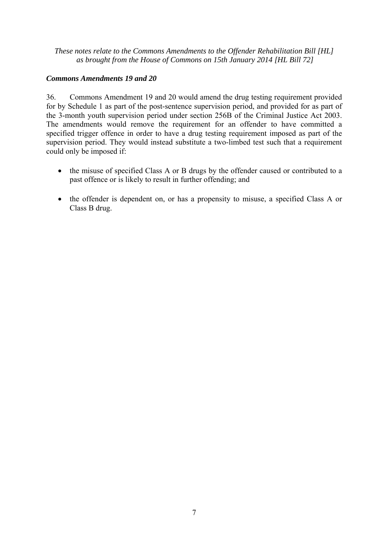#### *Commons Amendments 19 and 20*

36. Commons Amendment 19 and 20 would amend the drug testing requirement provided for by Schedule 1 as part of the post-sentence supervision period, and provided for as part of the 3-month youth supervision period under section 256B of the Criminal Justice Act 2003. The amendments would remove the requirement for an offender to have committed a specified trigger offence in order to have a drug testing requirement imposed as part of the supervision period. They would instead substitute a two-limbed test such that a requirement could only be imposed if:

- the misuse of specified Class A or B drugs by the offender caused or contributed to a past offence or is likely to result in further offending; and
- the offender is dependent on, or has a propensity to misuse, a specified Class A or Class B drug.